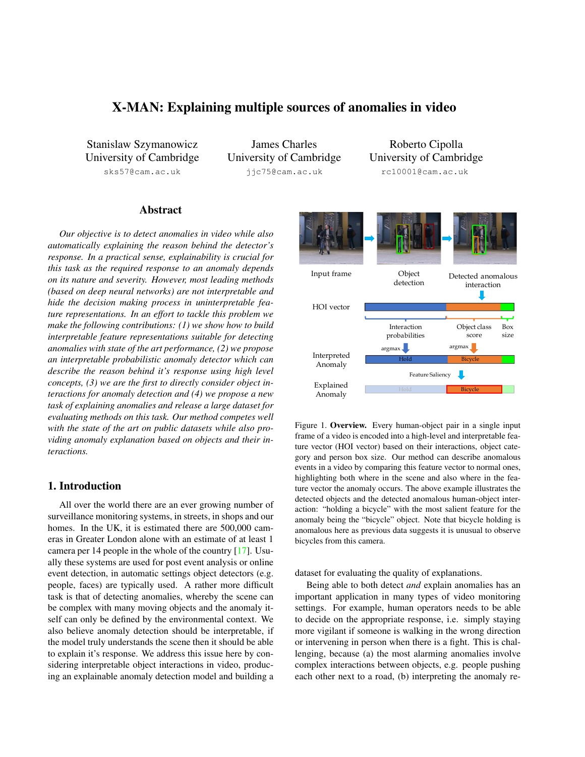# X-MAN: Explaining multiple sources of anomalies in video

Stanislaw Szymanowicz University of Cambridge

sks57@cam.ac.uk

James Charles University of Cambridge jjc75@cam.ac.uk

Roberto Cipolla University of Cambridge rc10001@cam.ac.uk

# Abstract

*Our objective is to detect anomalies in video while also automatically explaining the reason behind the detector's response. In a practical sense, explainability is crucial for this task as the required response to an anomaly depends on its nature and severity. However, most leading methods (based on deep neural networks) are not interpretable and hide the decision making process in uninterpretable feature representations. In an effort to tackle this problem we make the following contributions: (1) we show how to build interpretable feature representations suitable for detecting anomalies with state of the art performance, (2) we propose an interpretable probabilistic anomaly detector which can describe the reason behind it's response using high level concepts, (3) we are the first to directly consider object interactions for anomaly detection and (4) we propose a new task of explaining anomalies and release a large dataset for evaluating methods on this task. Our method competes well with the state of the art on public datasets while also providing anomaly explanation based on objects and their interactions.*

# 1. Introduction

All over the world there are an ever growing number of surveillance monitoring systems, in streets, in shops and our homes. In the UK, it is estimated there are 500,000 cameras in Greater London alone with an estimate of at least 1 camera per 14 people in the whole of the country [17]. Usually these systems are used for post event analysis or online event detection, in automatic settings object detectors (e.g. people, faces) are typically used. A rather more difficult task is that of detecting anomalies, whereby the scene can be complex with many moving objects and the anomaly itself can only be defined by the environmental context. We also believe anomaly detection should be interpretable, if the model truly understands the scene then it should be able to explain it's response. We address this issue here by considering interpretable object interactions in video, producing an explainable anomaly detection model and building a



Figure 1. Overview. Every human-object pair in a single input frame of a video is encoded into a high-level and interpretable feature vector (HOI vector) based on their interactions, object category and person box size. Our method can describe anomalous events in a video by comparing this feature vector to normal ones, highlighting both where in the scene and also where in the feature vector the anomaly occurs. The above example illustrates the detected objects and the detected anomalous human-object interaction: "holding a bicycle" with the most salient feature for the anomaly being the "bicycle" object. Note that bicycle holding is anomalous here as previous data suggests it is unusual to observe bicycles from this camera.

dataset for evaluating the quality of explanations.

Being able to both detect *and* explain anomalies has an important application in many types of video monitoring settings. For example, human operators needs to be able to decide on the appropriate response, i.e. simply staying more vigilant if someone is walking in the wrong direction or intervening in person when there is a fight. This is challenging, because (a) the most alarming anomalies involve complex interactions between objects, e.g. people pushing each other next to a road, (b) interpreting the anomaly re-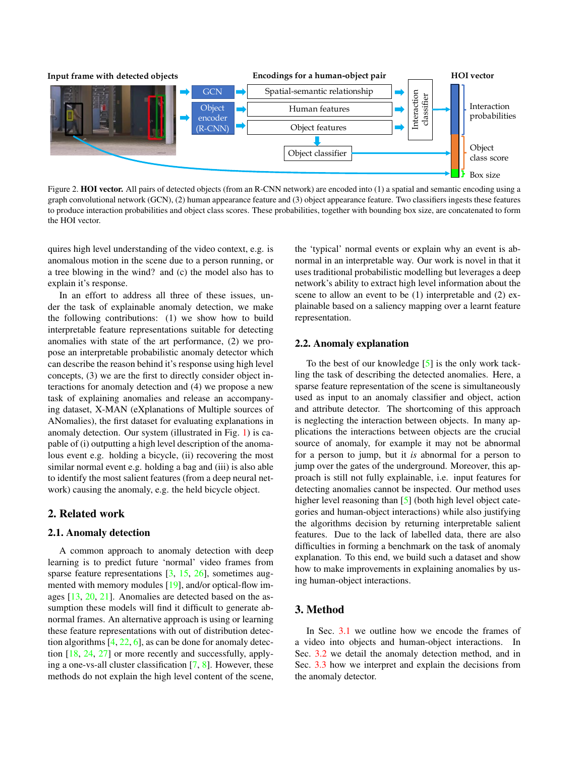

Figure 2. **HOI vector.** All pairs of detected objects (from an R-CNN network) are encoded into (1) a spatial and semantic encoding using a graph convolutional network (GCN), (2) human appearance feature and (3) object appearance feature. Two classifiers ingests these features to produce interaction probabilities and object class scores. These probabilities, together with bounding box size, are concatenated to form the HOI vector.

quires high level understanding of the video context, e.g. is anomalous motion in the scene due to a person running, or a tree blowing in the wind? and (c) the model also has to explain it's response.

In an effort to address all three of these issues, under the task of explainable anomaly detection, we make the following contributions: (1) we show how to build interpretable feature representations suitable for detecting anomalies with state of the art performance, (2) we propose an interpretable probabilistic anomaly detector which can describe the reason behind it's response using high level concepts, (3) we are the first to directly consider object interactions for anomaly detection and (4) we propose a new task of explaining anomalies and release an accompanying dataset, X-MAN (eXplanations of Multiple sources of ANomalies), the first dataset for evaluating explanations in anomaly detection. Our system (illustrated in Fig. 1) is capable of (i) outputting a high level description of the anomalous event e.g. holding a bicycle, (ii) recovering the most similar normal event e.g. holding a bag and (iii) is also able to identify the most salient features (from a deep neural network) causing the anomaly, e.g. the held bicycle object.

## 2. Related work

### 2.1. Anomaly detection

A common approach to anomaly detection with deep learning is to predict future 'normal' video frames from sparse feature representations [3, 15, 26], sometimes augmented with memory modules [19], and/or optical-flow images [13, 20, 21]. Anomalies are detected based on the assumption these models will find it difficult to generate abnormal frames. An alternative approach is using or learning these feature representations with out of distribution detection algorithms [4, 22, 6], as can be done for anomaly detection [18, 24, 27] or more recently and successfully, applying a one-vs-all cluster classification [7, 8]. However, these methods do not explain the high level content of the scene, the 'typical' normal events or explain why an event is abnormal in an interpretable way. Our work is novel in that it uses traditional probabilistic modelling but leverages a deep network's ability to extract high level information about the scene to allow an event to be (1) interpretable and (2) explainable based on a saliency mapping over a learnt feature representation.

### 2.2. Anomaly explanation

To the best of our knowledge [5] is the only work tackling the task of describing the detected anomalies. Here, a sparse feature representation of the scene is simultaneously used as input to an anomaly classifier and object, action and attribute detector. The shortcoming of this approach is neglecting the interaction between objects. In many applications the interactions between objects are the crucial source of anomaly, for example it may not be abnormal for a person to jump, but it *is* abnormal for a person to jump over the gates of the underground. Moreover, this approach is still not fully explainable, i.e. input features for detecting anomalies cannot be inspected. Our method uses higher level reasoning than [5] (both high level object categories and human-object interactions) while also justifying the algorithms decision by returning interpretable salient features. Due to the lack of labelled data, there are also difficulties in forming a benchmark on the task of anomaly explanation. To this end, we build such a dataset and show how to make improvements in explaining anomalies by using human-object interactions.

## 3. Method

In Sec. 3.1 we outline how we encode the frames of a video into objects and human-object interactions. In Sec. 3.2 we detail the anomaly detection method, and in Sec. 3.3 how we interpret and explain the decisions from the anomaly detector.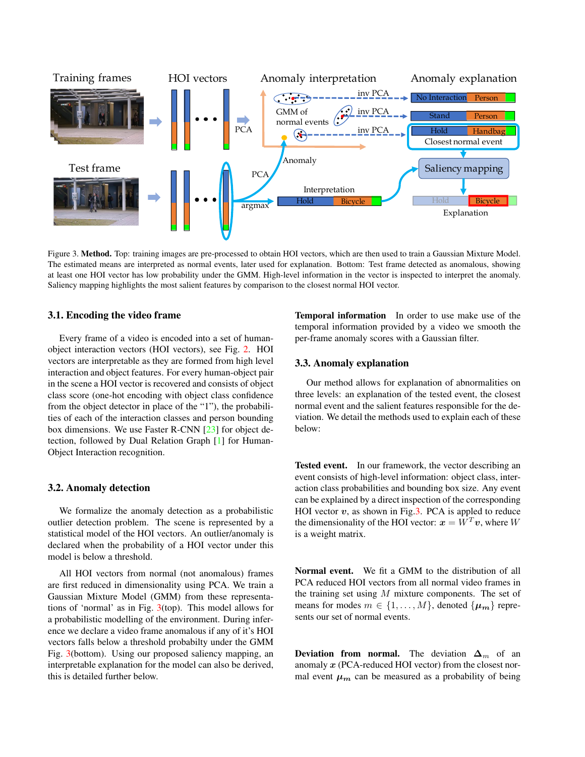

Figure 3. Method. Top: training images are pre-processed to obtain HOI vectors, which are then used to train a Gaussian Mixture Model. The estimated means are interpreted as normal events, later used for explanation. Bottom: Test frame detected as anomalous, showing at least one HOI vector has low probability under the GMM. High-level information in the vector is inspected to interpret the anomaly. Saliency mapping highlights the most salient features by comparison to the closest normal HOI vector.

## 3.1. Encoding the video frame

Every frame of a video is encoded into a set of humanobject interaction vectors (HOI vectors), see Fig. 2. HOI vectors are interpretable as they are formed from high level interaction and object features. For every human-object pair in the scene a HOI vector is recovered and consists of object class score (one-hot encoding with object class confidence from the object detector in place of the "1"), the probabilities of each of the interaction classes and person bounding box dimensions. We use Faster R-CNN [23] for object detection, followed by Dual Relation Graph [1] for Human-Object Interaction recognition.

## 3.2. Anomaly detection

We formalize the anomaly detection as a probabilistic outlier detection problem. The scene is represented by a statistical model of the HOI vectors. An outlier/anomaly is declared when the probability of a HOI vector under this model is below a threshold.

All HOI vectors from normal (not anomalous) frames are first reduced in dimensionality using PCA. We train a Gaussian Mixture Model (GMM) from these representations of 'normal' as in Fig. 3(top). This model allows for a probabilistic modelling of the environment. During inference we declare a video frame anomalous if any of it's HOI vectors falls below a threshold probabilty under the GMM Fig. 3(bottom). Using our proposed saliency mapping, an interpretable explanation for the model can also be derived, this is detailed further below.

Temporal information In order to use make use of the temporal information provided by a video we smooth the per-frame anomaly scores with a Gaussian filter.

### 3.3. Anomaly explanation

Our method allows for explanation of abnormalities on three levels: an explanation of the tested event, the closest normal event and the salient features responsible for the deviation. We detail the methods used to explain each of these below:

Tested event. In our framework, the vector describing an event consists of high-level information: object class, interaction class probabilities and bounding box size. Any event can be explained by a direct inspection of the corresponding HOI vector  $v$ , as shown in Fig.3. PCA is appled to reduce the dimensionality of the HOI vector:  $x = W^T v$ , where W is a weight matrix.

Normal event. We fit a GMM to the distribution of all PCA reduced HOI vectors from all normal video frames in the training set using  $M$  mixture components. The set of means for modes  $m \in \{1, \ldots, M\}$ , denoted  $\{\mu_m\}$  represents our set of normal events.

Deviation from normal. The deviation  $\Delta_m$  of an anomaly  $x$  (PCA-reduced HOI vector) from the closest normal event  $\mu_m$  can be measured as a probability of being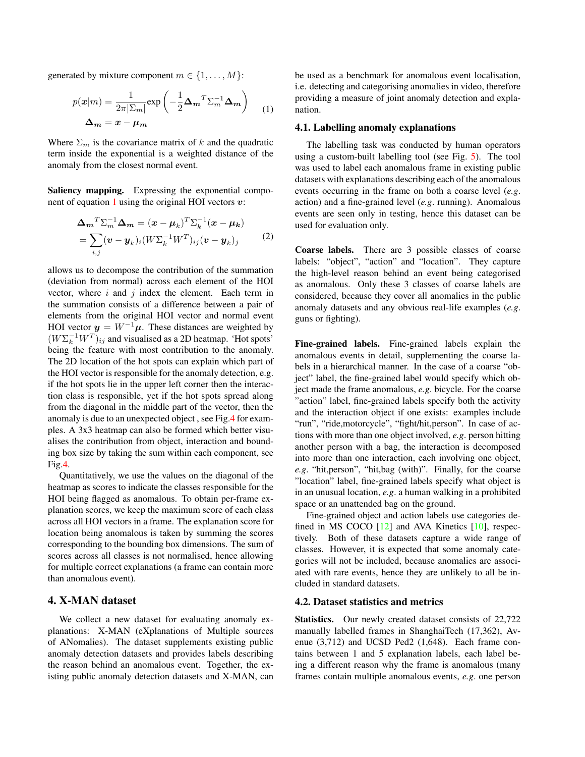generated by mixture component  $m \in \{1, \ldots, M\}$ :

$$
p(\mathbf{x}|m) = \frac{1}{2\pi |\Sigma_m|} \exp\left(-\frac{1}{2}\Delta_m^T \Sigma_m^{-1} \Delta_m\right)
$$
  

$$
\Delta_m = \mathbf{x} - \mu_m
$$
 (1)

Where  $\Sigma_m$  is the covariance matrix of k and the quadratic term inside the exponential is a weighted distance of the anomaly from the closest normal event.

Saliency mapping. Expressing the exponential component of equation 1 using the original HOI vectors  $v$ :

$$
\Delta_m^T \Sigma_m^{-1} \Delta_m = (\boldsymbol{x} - \boldsymbol{\mu}_k)^T \Sigma_k^{-1} (\boldsymbol{x} - \boldsymbol{\mu}_k)
$$
  
= 
$$
\sum_{i,j} (\boldsymbol{v} - \boldsymbol{y}_k)_i (W \Sigma_k^{-1} W^T)_{ij} (\boldsymbol{v} - \boldsymbol{y}_k)_j
$$
 (2)

allows us to decompose the contribution of the summation (deviation from normal) across each element of the HOI vector, where  $i$  and  $j$  index the element. Each term in the summation consists of a difference between a pair of elements from the original HOI vector and normal event HOI vector  $y = W^{-1} \mu$ . These distances are weighted by  $(W \Sigma_k^{-1} W^T)_{ij}$  and visualised as a 2D heatmap. 'Hot spots' being the feature with most contribution to the anomaly. The 2D location of the hot spots can explain which part of the HOI vector is responsible for the anomaly detection, e.g. if the hot spots lie in the upper left corner then the interaction class is responsible, yet if the hot spots spread along from the diagonal in the middle part of the vector, then the anomaly is due to an unexpected object , see Fig.4 for examples. A 3x3 heatmap can also be formed which better visualises the contribution from object, interaction and bounding box size by taking the sum within each component, see Fig.4.

Quantitatively, we use the values on the diagonal of the heatmap as scores to indicate the classes responsible for the HOI being flagged as anomalous. To obtain per-frame explanation scores, we keep the maximum score of each class across all HOI vectors in a frame. The explanation score for location being anomalous is taken by summing the scores corresponding to the bounding box dimensions. The sum of scores across all classes is not normalised, hence allowing for multiple correct explanations (a frame can contain more than anomalous event).

## 4. X-MAN dataset

We collect a new dataset for evaluating anomaly explanations: X-MAN (eXplanations of Multiple sources of ANomalies). The dataset supplements existing public anomaly detection datasets and provides labels describing the reason behind an anomalous event. Together, the existing public anomaly detection datasets and X-MAN, can be used as a benchmark for anomalous event localisation, i.e. detecting and categorising anomalies in video, therefore providing a measure of joint anomaly detection and explanation.

#### 4.1. Labelling anomaly explanations

The labelling task was conducted by human operators using a custom-built labelling tool (see Fig. 5). The tool was used to label each anomalous frame in existing public datasets with explanations describing each of the anomalous events occurring in the frame on both a coarse level (*e.g*. action) and a fine-grained level (*e.g*. running). Anomalous events are seen only in testing, hence this dataset can be used for evaluation only.

Coarse labels. There are 3 possible classes of coarse labels: "object", "action" and "location". They capture the high-level reason behind an event being categorised as anomalous. Only these 3 classes of coarse labels are considered, because they cover all anomalies in the public anomaly datasets and any obvious real-life examples (*e.g*. guns or fighting).

Fine-grained labels. Fine-grained labels explain the anomalous events in detail, supplementing the coarse labels in a hierarchical manner. In the case of a coarse "object" label, the fine-grained label would specify which object made the frame anomalous, *e.g*. bicycle. For the coarse "action" label, fine-grained labels specify both the activity and the interaction object if one exists: examples include "run", "ride,motorcycle", "fight/hit,person". In case of actions with more than one object involved, *e.g*. person hitting another person with a bag, the interaction is decomposed into more than one interaction, each involving one object, *e.g*. "hit,person", "hit,bag (with)". Finally, for the coarse "location" label, fine-grained labels specify what object is in an unusual location, *e.g*. a human walking in a prohibited space or an unattended bag on the ground.

Fine-grained object and action labels use categories defined in MS COCO  $[12]$  and AVA Kinetics  $[10]$ , respectively. Both of these datasets capture a wide range of classes. However, it is expected that some anomaly categories will not be included, because anomalies are associated with rare events, hence they are unlikely to all be included in standard datasets.

#### 4.2. Dataset statistics and metrics

Statistics. Our newly created dataset consists of 22,722 manually labelled frames in ShanghaiTech (17,362), Avenue (3,712) and UCSD Ped2 (1,648). Each frame contains between 1 and 5 explanation labels, each label being a different reason why the frame is anomalous (many frames contain multiple anomalous events, *e.g*. one person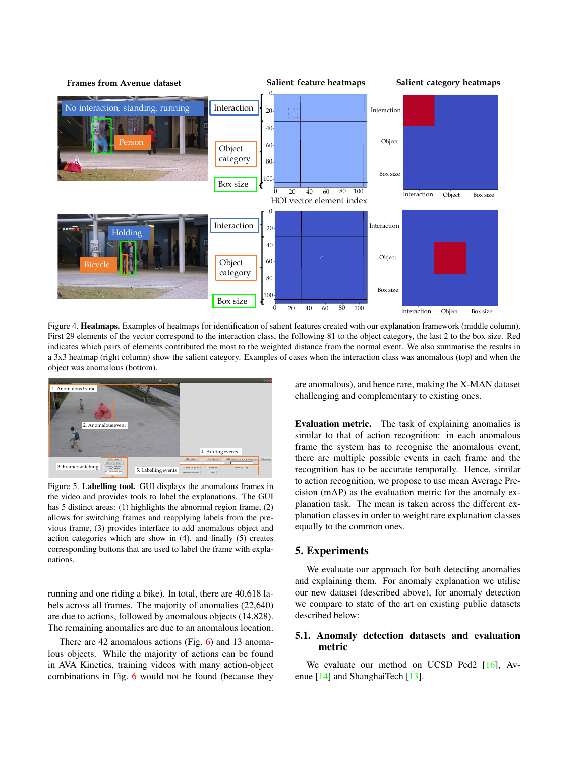

Figure 4. Heatmaps. Examples of heatmaps for identification of salient features created with our explanation framework (middle column). First 29 elements of the vector correspond to the interaction class, the following 81 to the object category, the last 2 to the box size. Red indicates which pairs of elements contributed the most to the weighted distance from the normal event. We also summarise the results in a 3x3 heatmap (right column) show the salient category. Examples of cases when the interaction class was anomalous (top) and when the object was anomalous (bottom).



Figure 5. Labelling tool. GUI displays the anomalous frames in the video and provides tools to label the explanations. The GUI has 5 distinct areas: (1) highlights the abnormal region frame, (2) allows for switching frames and reapplying labels from the previous frame, (3) provides interface to add anomalous object and action categories which are show in (4), and finally (5) creates corresponding buttons that are used to label the frame with explanations.

running and one riding a bike). In total, there are 40,618 labels across all frames. The majority of anomalies (22,640) are due to actions, followed by anomalous objects (14,828). The remaining anomalies are due to an anomalous location.

There are 42 anomalous actions (Fig. 6) and 13 anomalous objects. While the majority of actions can be found in AVA Kinetics, training videos with many action-object combinations in Fig. 6 would not be found (because they are anomalous), and hence rare, making the X-MAN dataset challenging and complementary to existing ones.

Evaluation metric. The task of explaining anomalies is similar to that of action recognition: in each anomalous frame the system has to recognise the anomalous event, there are multiple possible events in each frame and the recognition has to be accurate temporally. Hence, similar to action recognition, we propose to use mean Average Precision (mAP) as the evaluation metric for the anomaly explanation task. The mean is taken across the different explanation classes in order to weight rare explanation classes equally to the common ones.

## 5. Experiments

We evaluate our approach for both detecting anomalies and explaining them. For anomaly explanation we utilise our new dataset (described above), for anomaly detection we compare to state of the art on existing public datasets described below:

# 5.1. Anomaly detection datasets and evaluation metric

We evaluate our method on UCSD Ped2 [16], Avenue [14] and ShanghaiTech [13].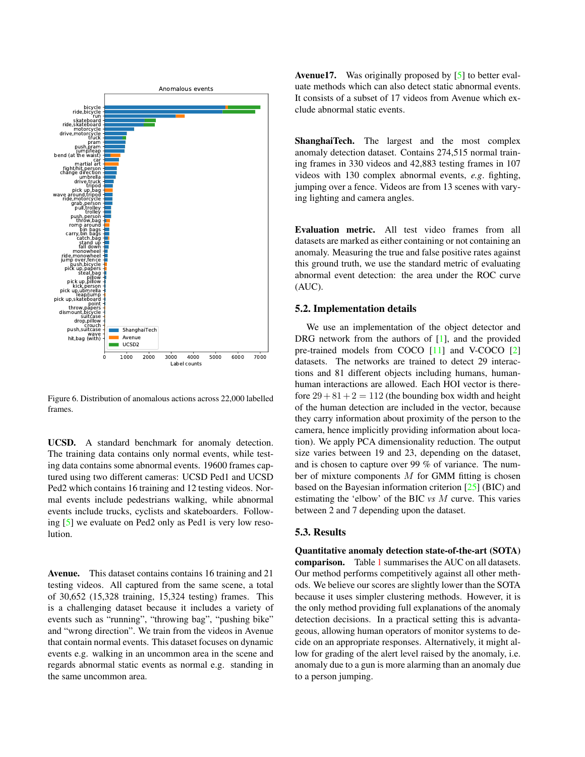

Figure 6. Distribution of anomalous actions across 22,000 labelled frames.

UCSD. A standard benchmark for anomaly detection. The training data contains only normal events, while testing data contains some abnormal events. 19600 frames captured using two different cameras: UCSD Ped1 and UCSD Ped2 which contains 16 training and 12 testing videos. Normal events include pedestrians walking, while abnormal events include trucks, cyclists and skateboarders. Following [5] we evaluate on Ped2 only as Ped1 is very low resolution.

Avenue. This dataset contains contains 16 training and 21 testing videos. All captured from the same scene, a total of 30,652 (15,328 training, 15,324 testing) frames. This is a challenging dataset because it includes a variety of events such as "running", "throwing bag", "pushing bike" and "wrong direction". We train from the videos in Avenue that contain normal events. This dataset focuses on dynamic events e.g. walking in an uncommon area in the scene and regards abnormal static events as normal e.g. standing in the same uncommon area.

Avenue17. Was originally proposed by [5] to better evaluate methods which can also detect static abnormal events. It consists of a subset of 17 videos from Avenue which exclude abnormal static events.

ShanghaiTech. The largest and the most complex anomaly detection dataset. Contains 274,515 normal training frames in 330 videos and 42,883 testing frames in 107 videos with 130 complex abnormal events, *e.g*. fighting, jumping over a fence. Videos are from 13 scenes with varying lighting and camera angles.

Evaluation metric. All test video frames from all datasets are marked as either containing or not containing an anomaly. Measuring the true and false positive rates against this ground truth, we use the standard metric of evaluating abnormal event detection: the area under the ROC curve (AUC).

#### 5.2. Implementation details

We use an implementation of the object detector and DRG network from the authors of [1], and the provided pre-trained models from COCO [11] and V-COCO [2] datasets. The networks are trained to detect 29 interactions and 81 different objects including humans, humanhuman interactions are allowed. Each HOI vector is therefore  $29 + 81 + 2 = 112$  (the bounding box width and height of the human detection are included in the vector, because they carry information about proximity of the person to the camera, hence implicitly providing information about location). We apply PCA dimensionality reduction. The output size varies between 19 and 23, depending on the dataset, and is chosen to capture over 99 % of variance. The number of mixture components  $M$  for GMM fitting is chosen based on the Bayesian information criterion [25] (BIC) and estimating the 'elbow' of the BIC *vs* M curve. This varies between 2 and 7 depending upon the dataset.

### 5.3. Results

Quantitative anomaly detection state-of-the-art (SOTA) comparison. Table 1 summarises the AUC on all datasets. Our method performs competitively against all other methods. We believe our scores are slightly lower than the SOTA because it uses simpler clustering methods. However, it is the only method providing full explanations of the anomaly detection decisions. In a practical setting this is advantageous, allowing human operators of monitor systems to decide on an appropriate responses. Alternatively, it might allow for grading of the alert level raised by the anomaly, i.e. anomaly due to a gun is more alarming than an anomaly due to a person jumping.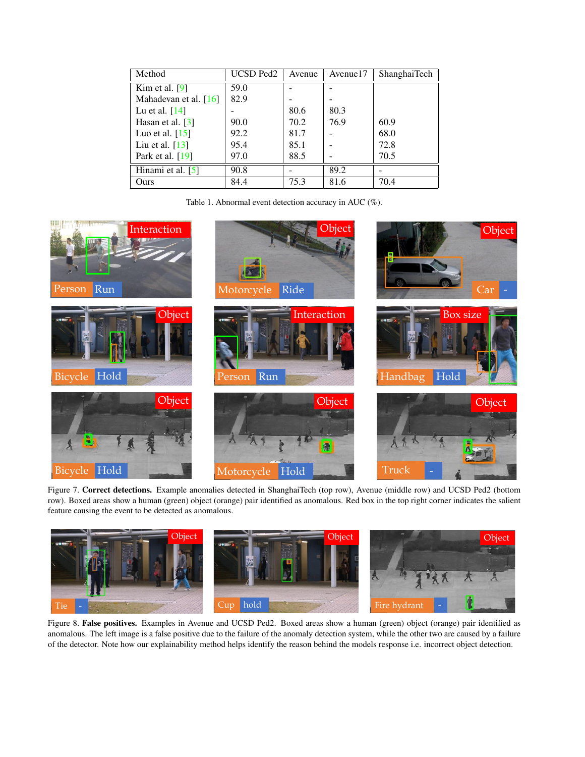| Method                         | <b>UCSD Ped2</b> | Avenue | Avenue17 | <b>ShanghaiTech</b> |
|--------------------------------|------------------|--------|----------|---------------------|
| Kim et al. $[9]$               | 59.0             |        |          |                     |
| Mahadevan et al. $[16]$        | 82.9             |        |          |                     |
| Lu et al. $[14]$               |                  | 80.6   | 80.3     |                     |
| Hasan et al. $\lceil 3 \rceil$ | 90.0             | 70.2   | 76.9     | 60.9                |
| Luo et al. $[15]$              | 92.2             | 81.7   |          | 68.0                |
| Liu et al. $[13]$              | 95.4             | 85.1   |          | 72.8                |
| Park et al. [19]               | 97.0             | 88.5   |          | 70.5                |
| Hinami et al. [5]              | 90.8             |        | 89.2     |                     |
| Ours                           | 84.4             | 75.3   | 81.6     | 70.4                |

Table 1. Abnormal event detection accuracy in AUC (%).



Figure 7. Correct detections. Example anomalies detected in ShanghaiTech (top row), Avenue (middle row) and UCSD Ped2 (bottom row). Boxed areas show a human (green) object (orange) pair identified as anomalous. Red box in the top right corner indicates the salient feature causing the event to be detected as anomalous.



Figure 8. False positives. Examples in Avenue and UCSD Ped2. Boxed areas show a human (green) object (orange) pair identified as anomalous. The left image is a false positive due to the failure of the anomaly detection system, while the other two are caused by a failure of the detector. Note how our explainability method helps identify the reason behind the models response i.e. incorrect object detection.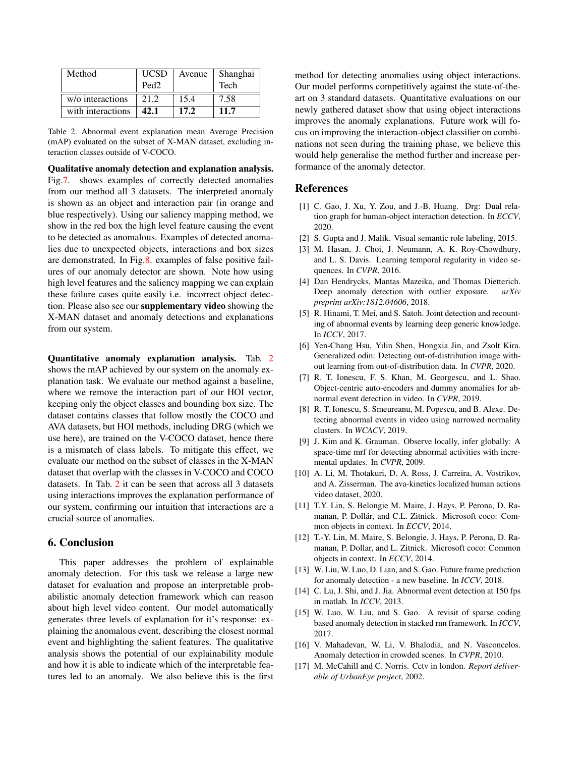| Method            | <b>UCSD</b><br>Ped <sub>2</sub> | Avenue | Shanghai<br>Tech |
|-------------------|---------------------------------|--------|------------------|
| w/o interactions  | 21.2                            | 15.4   | 7.58             |
| with interactions | 42.1                            | 17.2   | 11.7             |

Table 2. Abnormal event explanation mean Average Precision (mAP) evaluated on the subset of X-MAN dataset, excluding interaction classes outside of V-COCO.

Qualitative anomaly detection and explanation analysis. Fig.7. shows examples of correctly detected anomalies from our method all 3 datasets. The interpreted anomaly is shown as an object and interaction pair (in orange and blue respectively). Using our saliency mapping method, we show in the red box the high level feature causing the event to be detected as anomalous. Examples of detected anomalies due to unexpected objects, interactions and box sizes are demonstrated. In Fig.8. examples of false positive failures of our anomaly detector are shown. Note how using high level features and the saliency mapping we can explain these failure cases quite easily i.e. incorrect object detection. Please also see our supplementary video showing the X-MAN dataset and anomaly detections and explanations from our system.

Quantitative anomaly explanation analysis. Tab. 2 shows the mAP achieved by our system on the anomaly explanation task. We evaluate our method against a baseline, where we remove the interaction part of our HOI vector, keeping only the object classes and bounding box size. The dataset contains classes that follow mostly the COCO and AVA datasets, but HOI methods, including DRG (which we use here), are trained on the V-COCO dataset, hence there is a mismatch of class labels. To mitigate this effect, we evaluate our method on the subset of classes in the X-MAN dataset that overlap with the classes in V-COCO and COCO datasets. In Tab. 2 it can be seen that across all 3 datasets using interactions improves the explanation performance of our system, confirming our intuition that interactions are a crucial source of anomalies.

## 6. Conclusion

This paper addresses the problem of explainable anomaly detection. For this task we release a large new dataset for evaluation and propose an interpretable probabilistic anomaly detection framework which can reason about high level video content. Our model automatically generates three levels of explanation for it's response: explaining the anomalous event, describing the closest normal event and highlighting the salient features. The qualitative analysis shows the potential of our explainability module and how it is able to indicate which of the interpretable features led to an anomaly. We also believe this is the first method for detecting anomalies using object interactions. Our model performs competitively against the state-of-theart on 3 standard datasets. Quantitative evaluations on our newly gathered dataset show that using object interactions improves the anomaly explanations. Future work will focus on improving the interaction-object classifier on combinations not seen during the training phase, we believe this would help generalise the method further and increase performance of the anomaly detector.

## References

- [1] C. Gao, J. Xu, Y. Zou, and J.-B. Huang. Drg: Dual relation graph for human-object interaction detection. In *ECCV*, 2020.
- [2] S. Gupta and J. Malik. Visual semantic role labeling, 2015.
- [3] M. Hasan, J. Choi, J. Neumann, A. K. Roy-Chowdhury, and L. S. Davis. Learning temporal regularity in video sequences. In *CVPR*, 2016.
- [4] Dan Hendrycks, Mantas Mazeika, and Thomas Dietterich. Deep anomaly detection with outlier exposure. *arXiv preprint arXiv:1812.04606*, 2018.
- [5] R. Hinami, T. Mei, and S. Satoh. Joint detection and recounting of abnormal events by learning deep generic knowledge. In *ICCV*, 2017.
- [6] Yen-Chang Hsu, Yilin Shen, Hongxia Jin, and Zsolt Kira. Generalized odin: Detecting out-of-distribution image without learning from out-of-distribution data. In *CVPR*, 2020.
- [7] R. T. Ionescu, F. S. Khan, M. Georgescu, and L. Shao. Object-centric auto-encoders and dummy anomalies for abnormal event detection in video. In *CVPR*, 2019.
- [8] R. T. Ionescu, S. Smeureanu, M. Popescu, and B. Alexe. Detecting abnormal events in video using narrowed normality clusters. In *WCACV*, 2019.
- [9] J. Kim and K. Grauman. Observe locally, infer globally: A space-time mrf for detecting abnormal activities with incremental updates. In *CVPR*, 2009.
- [10] A. Li, M. Thotakuri, D. A. Ross, J. Carreira, A. Vostrikov, and A. Zisserman. The ava-kinetics localized human actions video dataset, 2020.
- [11] T.Y. Lin, S. Belongie M. Maire, J. Hays, P. Perona, D. Ramanan, P. Dollár, and C.L. Zitnick. Microsoft coco: Common objects in context. In *ECCV*, 2014.
- [12] T.-Y. Lin, M. Maire, S. Belongie, J. Hays, P. Perona, D. Ramanan, P. Dollar, and L. Zitnick. Microsoft coco: Common objects in context. In *ECCV*, 2014.
- [13] W. Liu, W. Luo, D. Lian, and S. Gao. Future frame prediction for anomaly detection - a new baseline. In *ICCV*, 2018.
- [14] C. Lu, J. Shi, and J. Jia. Abnormal event detection at 150 fps in matlab. In *ICCV*, 2013.
- [15] W. Luo, W. Liu, and S. Gao. A revisit of sparse coding based anomaly detection in stacked rnn framework. In *ICCV*, 2017.
- [16] V. Mahadevan, W. Li, V. Bhalodia, and N. Vasconcelos. Anomaly detection in crowded scenes. In *CVPR*, 2010.
- [17] M. McCahill and C. Norris. Cctv in london. *Report deliverable of UrbanEye project*, 2002.